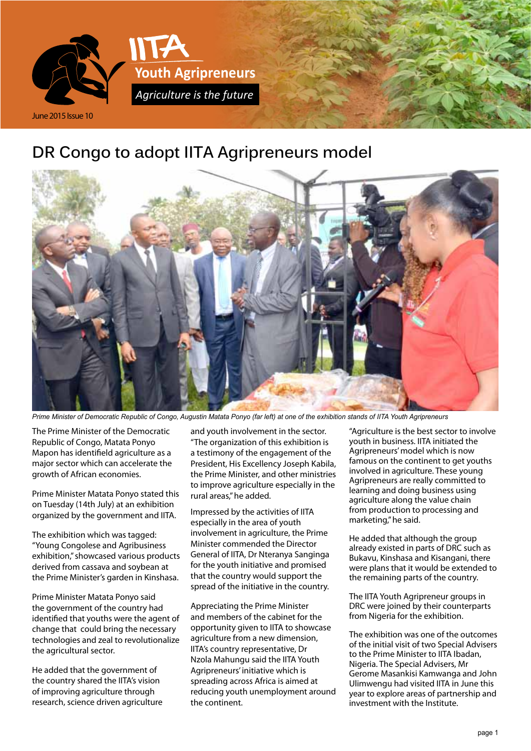

# **DR Congo to adopt IITA Agripreneurs model**



*Prime Minister of Democratic Republic of Congo, Augustin Matata Ponyo (far left) at one of the exhibition stands of IITA Youth Agripreneurs*

The Prime Minister of the Democratic Republic of Congo, Matata Ponyo Mapon has identifield agriculture as a major sector which can accelerate the growth of African economies.

Prime Minister Matata Ponyo stated this on Tuesday (14th July) at an exhibition organized by the government and IITA.

The exhibition which was tagged: "Young Congolese and Agribusiness exhibition," showcased various products derived from cassava and soybean at the Prime Minister's garden in Kinshasa.

Prime Minister Matata Ponyo said the government of the country had identified that youths were the agent of change that could bring the necessary technologies and zeal to revolutionalize the agricultural sector.

He added that the government of the country shared the IITA's vision of improving agriculture through research, science driven agriculture and youth involvement in the sector. "The organization of this exhibition is a testimony of the engagement of the President, His Excellency Joseph Kabila, the Prime Minister, and other ministries to improve agriculture especially in the rural areas," he added.

Impressed by the activities of IITA especially in the area of youth involvement in agriculture, the Prime Minister commended the Director General of IITA, Dr Nteranya Sanginga for the youth initiative and promised that the country would support the spread of the initiative in the country.

Appreciating the Prime Minister and members of the cabinet for the opportunity given to IITA to showcase agriculture from a new dimension, IITA's country representative, Dr Nzola Mahungu said the IITA Youth Agripreneurs' initiative which is spreading across Africa is aimed at reducing youth unemployment around the continent.

"Agriculture is the best sector to involve youth in business. IITA initiated the Agripreneurs' model which is now famous on the continent to get youths involved in agriculture. These young Agripreneurs are really committed to learning and doing business using agriculture along the value chain from production to processing and marketing," he said.

He added that although the group already existed in parts of DRC such as Bukavu, Kinshasa and Kisangani, there were plans that it would be extended to the remaining parts of the country.

The IITA Youth Agripreneur groups in DRC were joined by their counterparts from Nigeria for the exhibition.

The exhibition was one of the outcomes of the initial visit of two Special Advisers to the Prime Minister to IITA Ibadan, Nigeria. The Special Advisers, Mr Gerome Masankisi Kamwanga and John Ulimwengu had visited IITA in June this year to explore areas of partnership and investment with the Institute.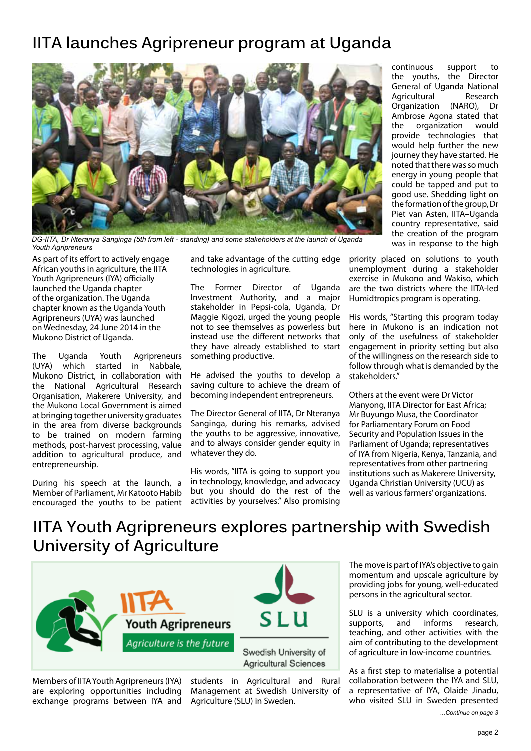## **IITA launches Agripreneur program at Uganda**



*DG-IITA, Dr Nteranya Sanginga (5th from left - standing) and some stakeholders at the launch of Uganda Youth Agripreneurs*

As part of its effort to actively engage African youths in agriculture, the IITA Youth Agripreneurs (IYA) officially launched the Uganda chapter of the organization. The Uganda chapter known as the Uganda Youth Agripreneurs (UYA) was launched on Wednesday, 24 June 2014 in the Mukono District of Uganda.

The Uganda Youth Agripreneurs<br>(UYA) which started in Nabbale. .<br>Nabbale, Mukono District, in collaboration with the National Agricultural Research Organisation, Makerere University, and the Mukono Local Government is aimed at bringing together university graduates in the area from diverse backgrounds to be trained on modern farming methods, post-harvest processing, value addition to agricultural produce, and entrepreneurship.

During his speech at the launch, a Member of Parliament, Mr Katooto Habib encouraged the youths to be patient and take advantage of the cutting edge technologies in agriculture.

The Former Director of Uganda Investment Authority, and a major stakeholder in Pepsi-cola, Uganda, Dr Maggie Kigozi, urged the young people not to see themselves as powerless but instead use the different networks that they have already established to start something productive.

He advised the youths to develop a saving culture to achieve the dream of becoming independent entrepreneurs.

The Director General of IITA, Dr Nteranya Sanginga, during his remarks, advised the youths to be aggressive, innovative, and to always consider gender equity in whatever they do.

His words, "IITA is going to support you in technology, knowledge, and advocacy but you should do the rest of the activities by yourselves." Also promising

continuous support to the youths, the Director General of Uganda National<br>Agricultural Research **Agricultural** Organization (NARO), Dr Ambrose Agona stated that the organization would provide technologies that would help further the new journey they have started. He noted that there was so much energy in young people that could be tapped and put to good use. Shedding light on the formation of the group, Dr Piet van Asten, IITA–Uganda country representative, said the creation of the program was in response to the high

priority placed on solutions to youth unemployment during a stakeholder exercise in Mukono and Wakiso, which are the two districts where the IITA-led Humidtropics program is operating.

His words, "Starting this program today here in Mukono is an indication not only of the usefulness of stakeholder engagement in priority setting but also of the willingness on the research side to follow through what is demanded by the stakeholders."

Others at the event were Dr Victor Manyong, IITA Director for East Africa; Mr Buyungo Musa, the Coordinator for Parliamentary Forum on Food Security and Population Issues in the Parliament of Uganda; representatives of IYA from Nigeria, Kenya, Tanzania, and representatives from other partnering institutions such as Makerere University, Uganda Christian University (UCU) as well as various farmers' organizations.

# **IITA Youth Agripreneurs explores partnership with Swedish University of Agriculture**



Members of IITA Youth Agripreneurs (IYA) are exploring opportunities including exchange programs between IYA and

students in Agricultural and Rural Management at Swedish University of Agriculture (SLU) in Sweden.

The move is part of IYA's objective to gain momentum and upscale agriculture by providing jobs for young, well-educated persons in the agricultural sector.

SLU is a university which coordinates, supports, and informs research, teaching, and other activities with the aim of contributing to the development of agriculture in low-income countries.

As a first step to materialise a potential collaboration between the IYA and SLU, a representative of IYA, Olaide Jinadu, who visited SLU in Sweden presented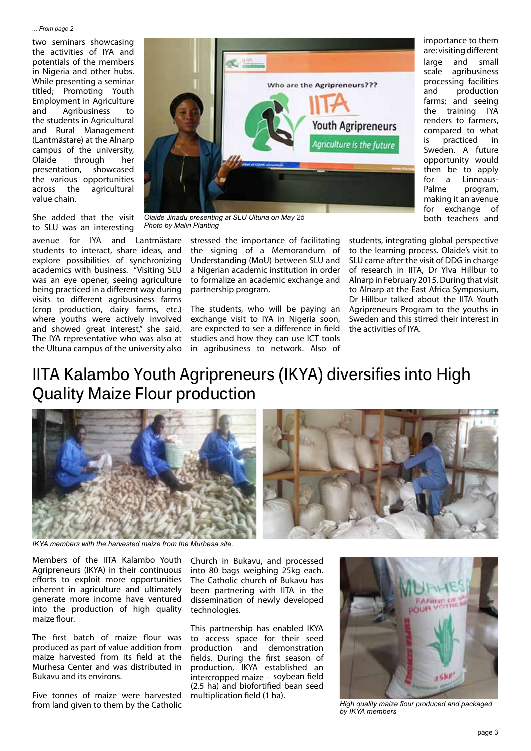#### *... From page 2*

two seminars showcasing the activities of IYA and potentials of the members in Nigeria and other hubs. While presenting a seminar titled; Promoting Youth Employment in Agriculture and Agribusiness to the students in Agricultural and Rural Management (Lantmästare) at the Alnarp campus of the university, Olaide through her presentation, showcased the various opportunities across the agricultural value chain.



importance to them are: visiting different large and small scale agribusiness processing facilities and production farms; and seeing the training IYA renders to farmers, compared to what is practiced in Sweden. A future opportunity would then be to apply for a Linneaus-Palme program, making it an avenue for exchange of both teachers and

She added that the visit to SLU was an interesting

avenue for IYA and Lantmästare students to interact, share ideas, and explore possibilities of synchronizing academics with business. "Visiting SLU was an eye opener, seeing agriculture being practiced in a different way during visits to different agribusiness farms (crop production, dairy farms, etc.) where youths were actively involved and showed great interest," she said. The IYA representative who was also at the Ultuna campus of the university also

*Olaide Jinadu presenting at SLU Ultuna on May 25 Photo by Malin Planting*

stressed the importance of facilitating the signing of a Memorandum of Understanding (MoU) between SLU and a Nigerian academic institution in order to formalize an academic exchange and partnership program.

The students, who will be paying an exchange visit to IYA in Nigeria soon, are expected to see a difference in field studies and how they can use ICT tools in agribusiness to network. Also of students, integrating global perspective to the learning process. Olaide's visit to SLU came after the visit of DDG in charge of research in IITA, Dr Ylva Hillbur to Alnarp in February 2015. During that visit to Alnarp at the East Africa Symposium, Dr Hillbur talked about the IITA Youth Agripreneurs Program to the youths in Sweden and this stirred their interest in the activities of IYA.

# **IITA Kalambo Youth Agripreneurs (IKYA) diversifies into High Quality Maize Flour production**



*IKYA members with the harvested maize from the Murhesa site.*

Members of the IITA Kalambo Youth Agripreneurs (IKYA) in their continuous efforts to exploit more opportunities inherent in agriculture and ultimately generate more income have ventured into the production of high quality maize flour.

The first batch of maize flour was produced as part of value addition from maize harvested from its field at the Murhesa Center and was distributed in Bukavu and its environs.

Five tonnes of maize were harvested from land given to them by the Catholic

Church in Bukavu, and processed into 80 bags weighing 25kg each. The Catholic church of Bukavu has been partnering with IITA in the dissemination of newly developed technologies.

This partnership has enabled IKYA to access space for their seed production and demonstration fields. During the first season of production, IKYA established an intercropped maize – soybean field (2.5 ha) and biofortified bean seed multiplication field (1 ha).



*High quality maize flour produced and packaged by IKYA members*